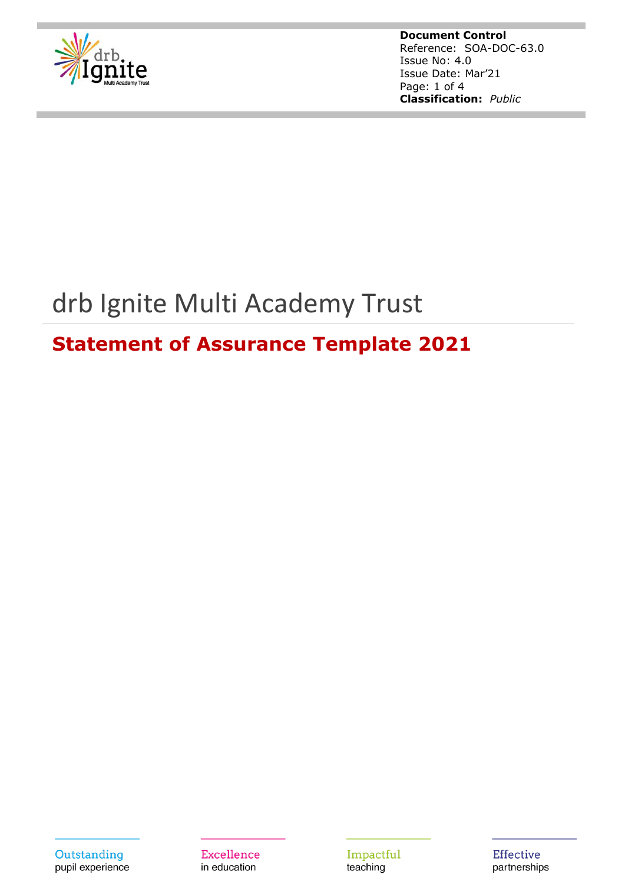

**Document Control** Reference: SOA-DOC-63.0 Issue No: 4.0 Issue Date: Mar'21 Page: 1 of 4 **Classification:** *Public*

# drb Ignite Multi Academy Trust

# **Statement of Assurance Template 2021**

Outstanding pupil experience **Excellence** in education

Impactful teaching

**Effective** partnerships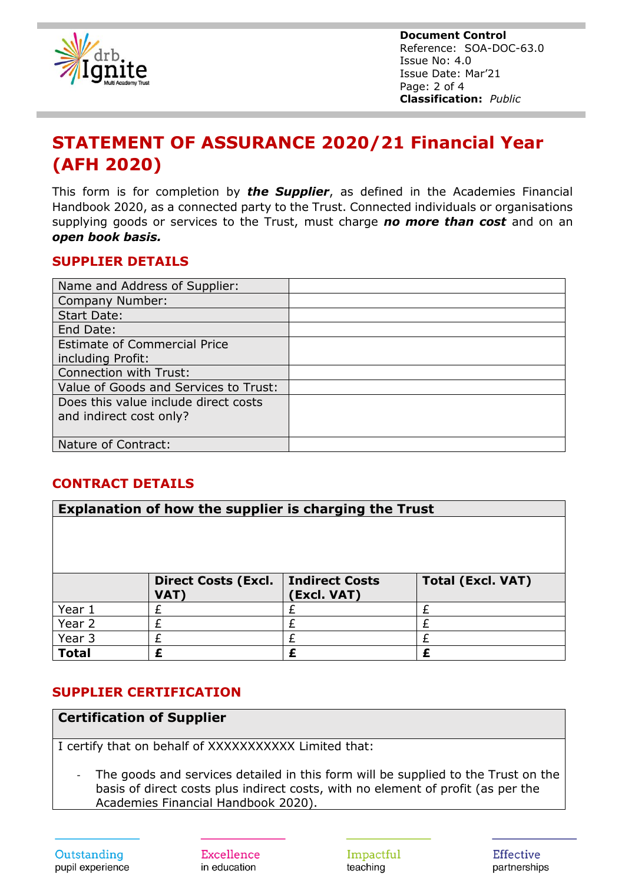

**Document Control** Reference: SOA-DOC-63.0 Issue No: 4.0 Issue Date: Mar'21 Page: 2 of 4 **Classification:** *Public*

## **STATEMENT OF ASSURANCE 2020/21 Financial Year (AFH 2020)**

This form is for completion by *the Supplier*, as defined in the Academies Financial Handbook 2020, as a connected party to the Trust. Connected individuals or organisations supplying goods or services to the Trust, must charge *no more than cost* and on an *open book basis.*

#### **SUPPLIER DETAILS**

| Name and Address of Supplier:         |  |
|---------------------------------------|--|
| Company Number:                       |  |
| <b>Start Date:</b>                    |  |
| End Date:                             |  |
| <b>Estimate of Commercial Price</b>   |  |
| including Profit:                     |  |
| Connection with Trust:                |  |
| Value of Goods and Services to Trust: |  |
| Does this value include direct costs  |  |
| and indirect cost only?               |  |
|                                       |  |
| Nature of Contract:                   |  |

#### **CONTRACT DETAILS**

| Explanation of how the supplier is charging the Trust |                            |                       |                          |  |
|-------------------------------------------------------|----------------------------|-----------------------|--------------------------|--|
|                                                       |                            |                       |                          |  |
|                                                       |                            |                       |                          |  |
|                                                       |                            |                       |                          |  |
|                                                       | <b>Direct Costs (Excl.</b> | <b>Indirect Costs</b> | <b>Total (Excl. VAT)</b> |  |
|                                                       | VAT)                       | (Excl. VAT)           |                          |  |
| Year 1                                                | F                          |                       |                          |  |
| Year 2                                                | £                          |                       |                          |  |
| Year 3                                                |                            |                       |                          |  |
| <b>Total</b>                                          | £                          | £                     |                          |  |

#### **SUPPLIER CERTIFICATION**

#### **Certification of Supplier**

I certify that on behalf of XXXXXXXXXXX Limited that:

- The goods and services detailed in this form will be supplied to the Trust on the basis of direct costs plus indirect costs, with no element of profit (as per the Academies Financial Handbook 2020).

**Excellence** in education

Impactful teaching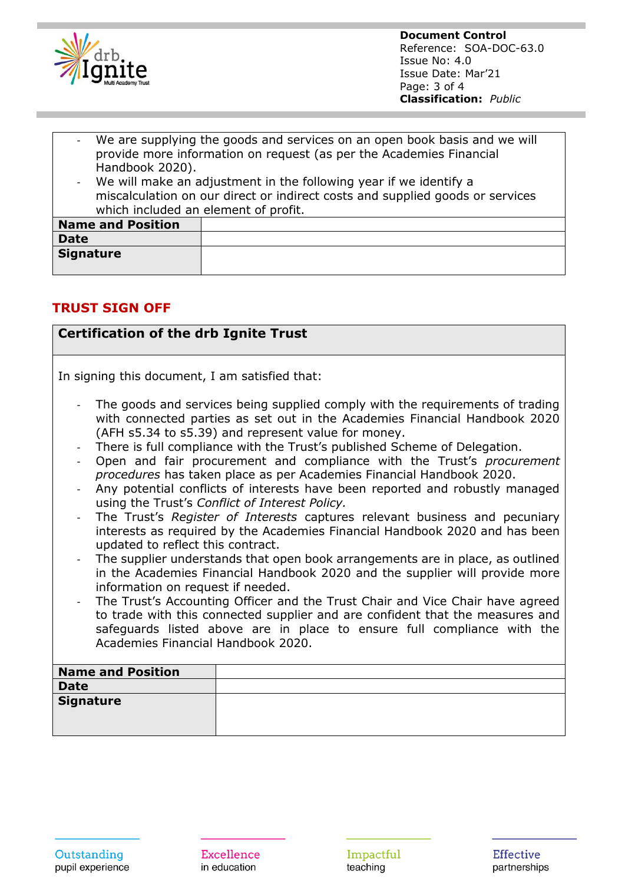

**Document Control** Reference: SOA-DOC-63.0 Issue No: 4.0 Issue Date: Mar'21 Page: 3 of 4 **Classification:** *Public*

- We are supplying the goods and services on an open book basis and we will provide more information on request (as per the Academies Financial Handbook 2020).
- We will make an adjustment in the following year if we identify a miscalculation on our direct or indirect costs and supplied goods or services which included an element of profit.

| <b>Name and Position</b> |  |
|--------------------------|--|
| <b>Date</b>              |  |
| <b>Signature</b>         |  |

#### **TRUST SIGN OFF**

#### **Certification of the drb Ignite Trust**

In signing this document, I am satisfied that:

- The goods and services being supplied comply with the requirements of trading with connected parties as set out in the Academies Financial Handbook 2020 (AFH s5.34 to s5.39) and represent value for money.
- There is full compliance with the Trust's published Scheme of Delegation.
- Open and fair procurement and compliance with the Trust's *procurement procedures* has taken place as per Academies Financial Handbook 2020.
- Any potential conflicts of interests have been reported and robustly managed using the Trust's *Conflict of Interest Policy.*
- The Trust's *Register of Interests* captures relevant business and pecuniary interests as required by the Academies Financial Handbook 2020 and has been updated to reflect this contract.
- The supplier understands that open book arrangements are in place, as outlined in the Academies Financial Handbook 2020 and the supplier will provide more information on request if needed.
- The Trust's Accounting Officer and the Trust Chair and Vice Chair have agreed to trade with this connected supplier and are confident that the measures and safeguards listed above are in place to ensure full compliance with the Academies Financial Handbook 2020.

| <b>Name and Position</b> |  |
|--------------------------|--|
| <b>Date</b>              |  |
| Signature                |  |
|                          |  |
|                          |  |